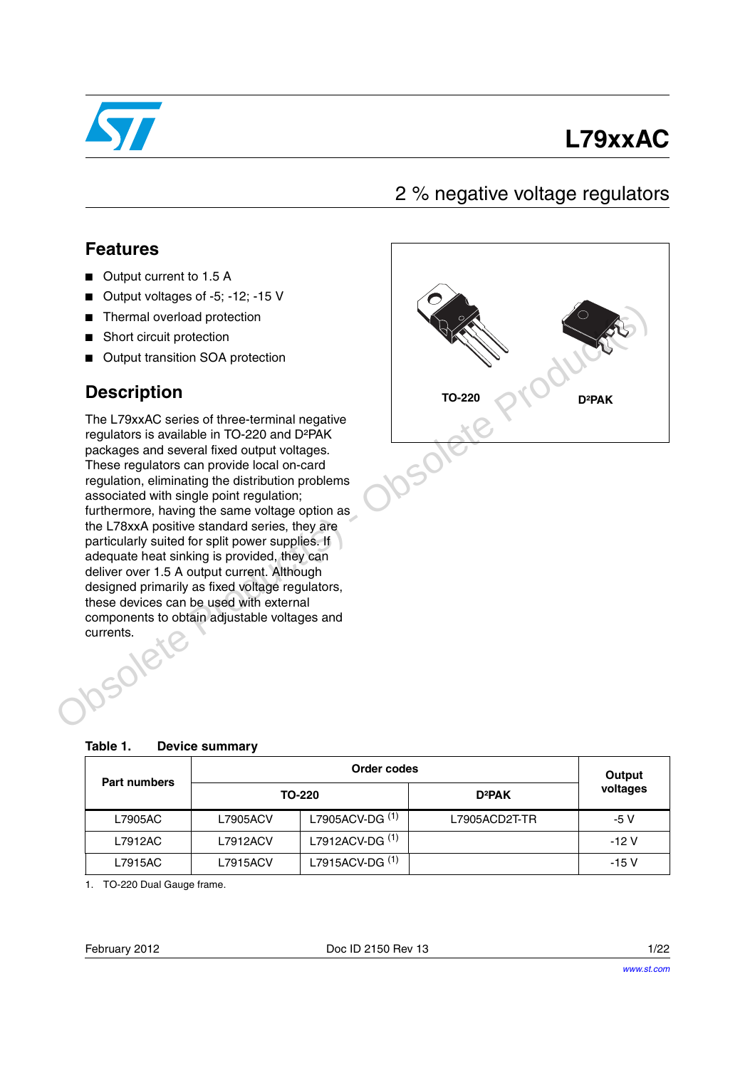

# **L79xxAC**

## 2 % negative voltage regulators

### **Features**

- Output current to 1.5 A
- Output voltages of -5; -12; -15 V
- Thermal overload protection
- Short circuit protection
- Output transition SOA protection

### **Description**

The L79xxAC series of three-terminal negative regulators is available in TO-220 and D²PAK packages and several fixed output voltages. These regulators can provide local on-card regulation, eliminating the distribution problems associated with single point regulation; furthermore, having the same voltage option as the L78xxA positive standard series, they are particularly suited for split power supplies. If adequate heat sinking is provided, they can deliver over 1.5 A output current. Although designed primarily as fixed voltage regulators, these devices can be used with external components to obtain adjustable voltages and Josolete Thermal overload protection<br>
Short circuit protection<br>
Description<br>
The L7%xAC series of three-terminal negative<br>
regulators is available in TO-220 and DFPAK<br>
Packages and several fixed cutput voltages.<br>
These regulators c



<span id="page-0-0"></span>

| <b>Part numbers</b> |          | Output                     |                    |          |
|---------------------|----------|----------------------------|--------------------|----------|
|                     |          | TO-220                     | D <sup>2</sup> PAK | voltages |
| L7905AC             | L7905ACV | L7905ACV-DG <sup>(1)</sup> | L7905ACD2T-TR      | -5 V     |
| L7912AC             | L7912ACV | L7912ACV-DG <sup>(1)</sup> |                    | $-12V$   |
| L7915AC             | L7915ACV | L7915ACV-DG <sup>(1)</sup> |                    | -15 V    |

1. TO-220 Dual Gauge frame.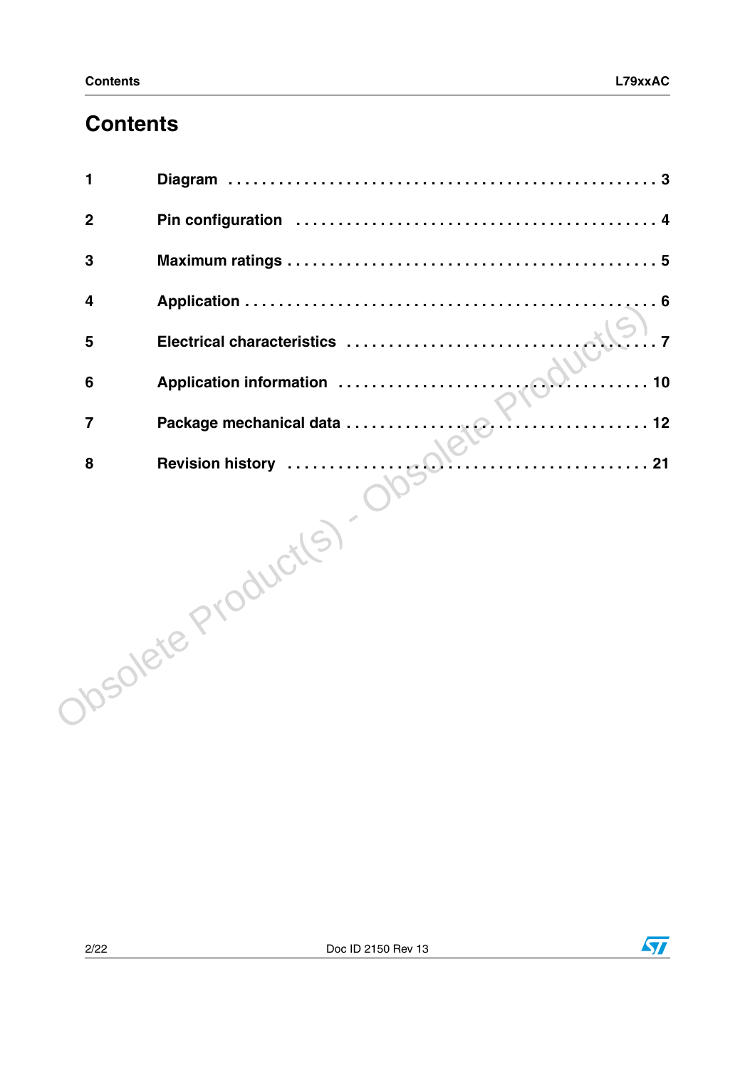# **Contents**

| 1                       |                    |
|-------------------------|--------------------|
| $\overline{2}$          |                    |
| 3                       |                    |
| $\overline{\mathbf{4}}$ |                    |
| 5                       |                    |
| $6\phantom{1}6$         | 10                 |
| $\overline{7}$          |                    |
| 8                       |                    |
|                         | Josolete Products) |
|                         |                    |

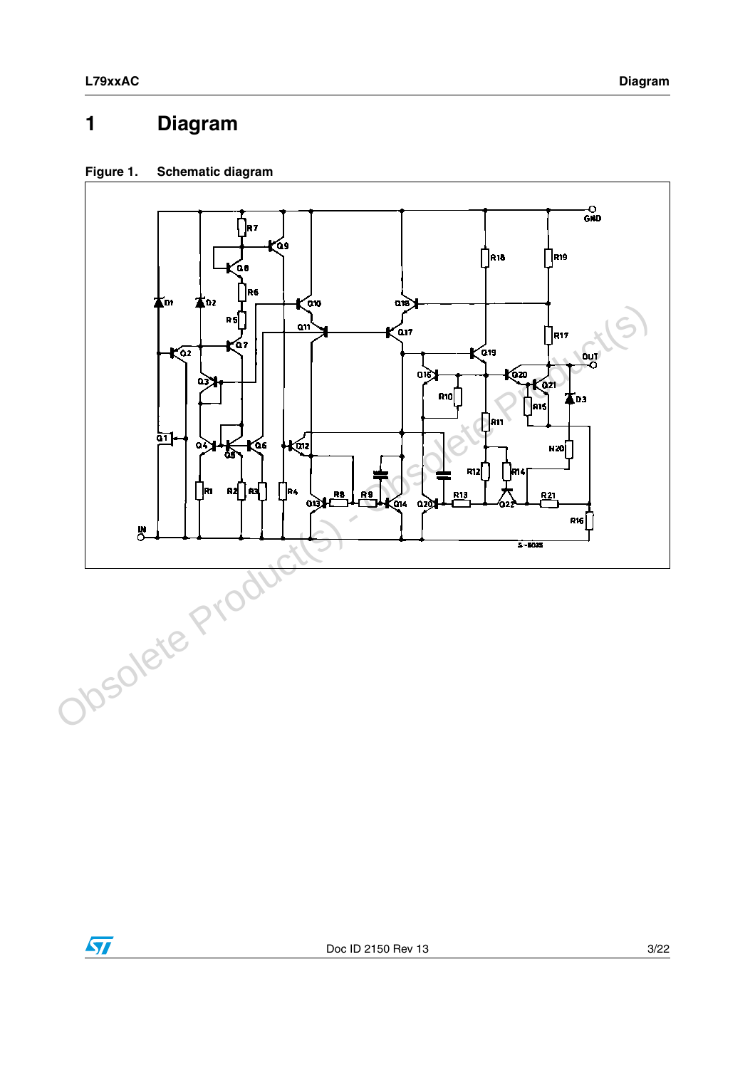# <span id="page-2-0"></span>**1 Diagram**

### **Figure 1. Schematic diagram**



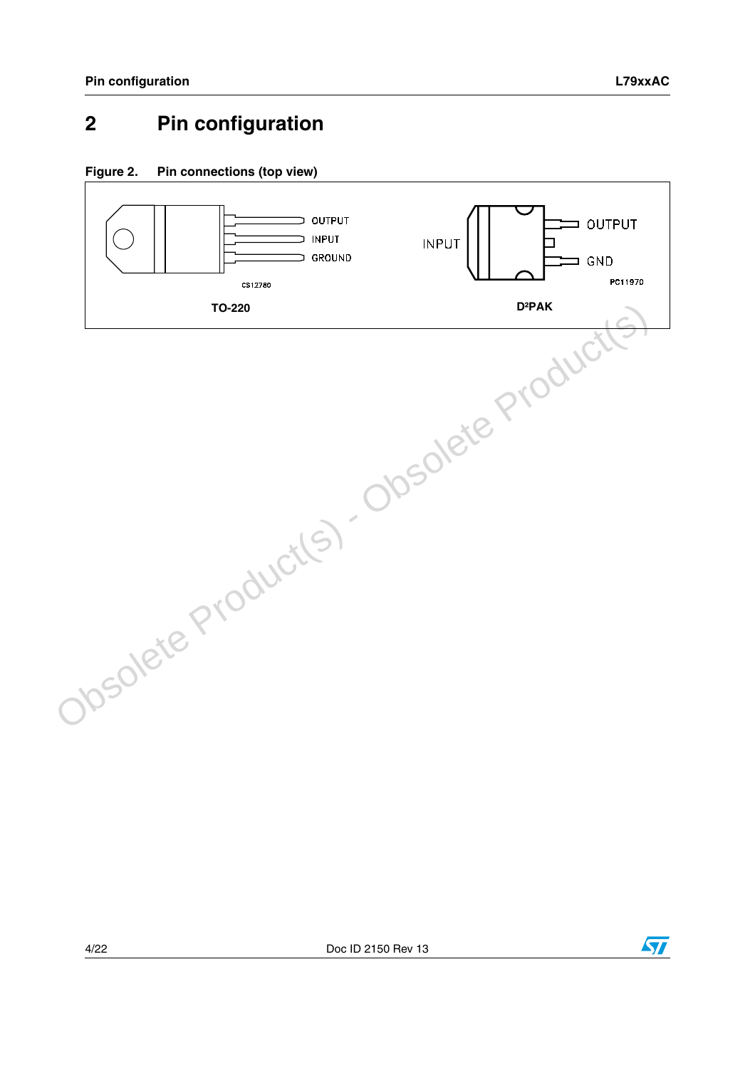# <span id="page-3-0"></span>**2 Pin configuration**







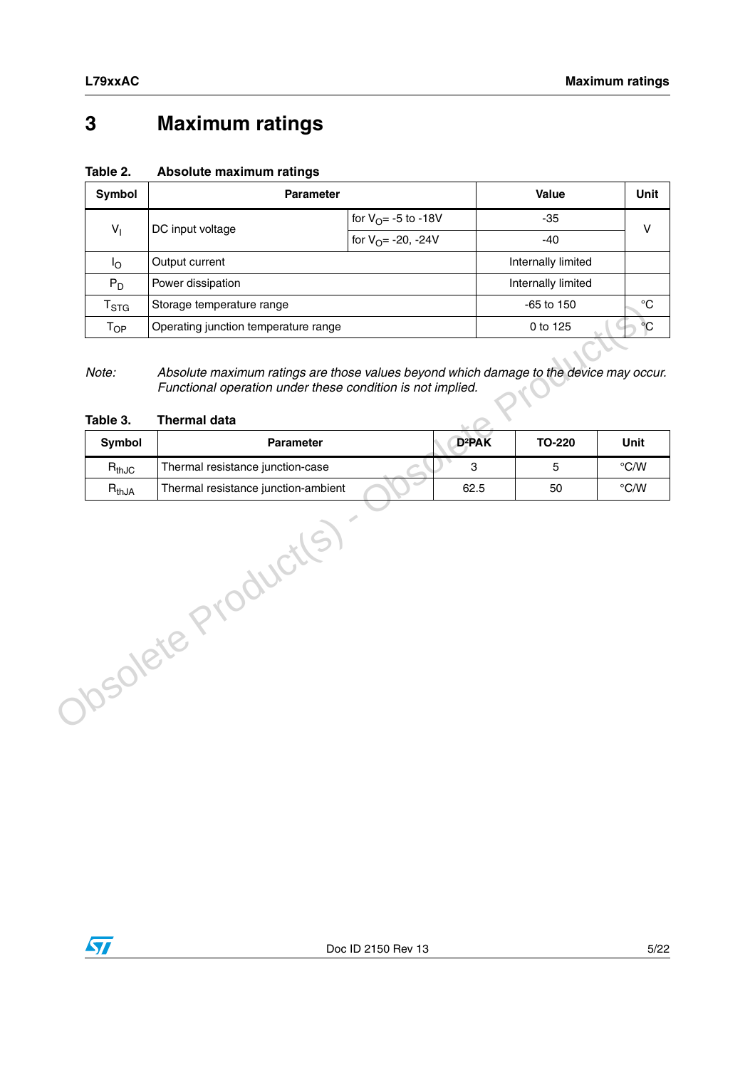# <span id="page-4-0"></span>**3 Maximum ratings**

| Symbol                      | <b>Parameter</b>                                  | Value                         | Unit  |   |
|-----------------------------|---------------------------------------------------|-------------------------------|-------|---|
| $V_{1}$                     |                                                   | for $V_{\Omega} = -5$ to -18V | $-35$ | v |
|                             | DC input voltage<br>for $V_{\Omega} = -20$ , -24V |                               | $-40$ |   |
| ΙO                          | Output current                                    | Internally limited            |       |   |
| $P_D$                       | Power dissipation                                 | Internally limited            |       |   |
| $\mathsf{r}_{\texttt{STG}}$ | Storage temperature range                         | $-65$ to 150                  | °C    |   |
| Т <sub>ОР</sub>             | Operating junction temperature range              | 0 to 125                      | °€    |   |

### **Table 2. Absolute maximum ratings**

| $T_{OP}$          | Storage temperature range                                                                                                                                                   |                    | -65 to 150    |                |
|-------------------|-----------------------------------------------------------------------------------------------------------------------------------------------------------------------------|--------------------|---------------|----------------|
|                   | Operating junction temperature range                                                                                                                                        |                    | 0 to 125      |                |
| Note:<br>Table 3. | Absolute maximum ratings are those values beyond which damage to the device may occur.<br>Functional operation under these condition is not implied.<br><b>Thermal data</b> |                    |               |                |
| Symbol            | <b>Parameter</b>                                                                                                                                                            | D <sup>2</sup> PAK | <b>TO-220</b> | <b>Unit</b>    |
| $R_{thJC}$        | Thermal resistance junction-case                                                                                                                                            | 3                  | 5             | $\degree$ C/W  |
| $R_{thJA}$        | Thermal resistance junction-ambient                                                                                                                                         | 62.5               | 50            | $^{\circ}$ C/W |
|                   | Josolete Product(S)                                                                                                                                                         |                    |               |                |

#### <span id="page-4-1"></span>**Table 3. Thermal data**

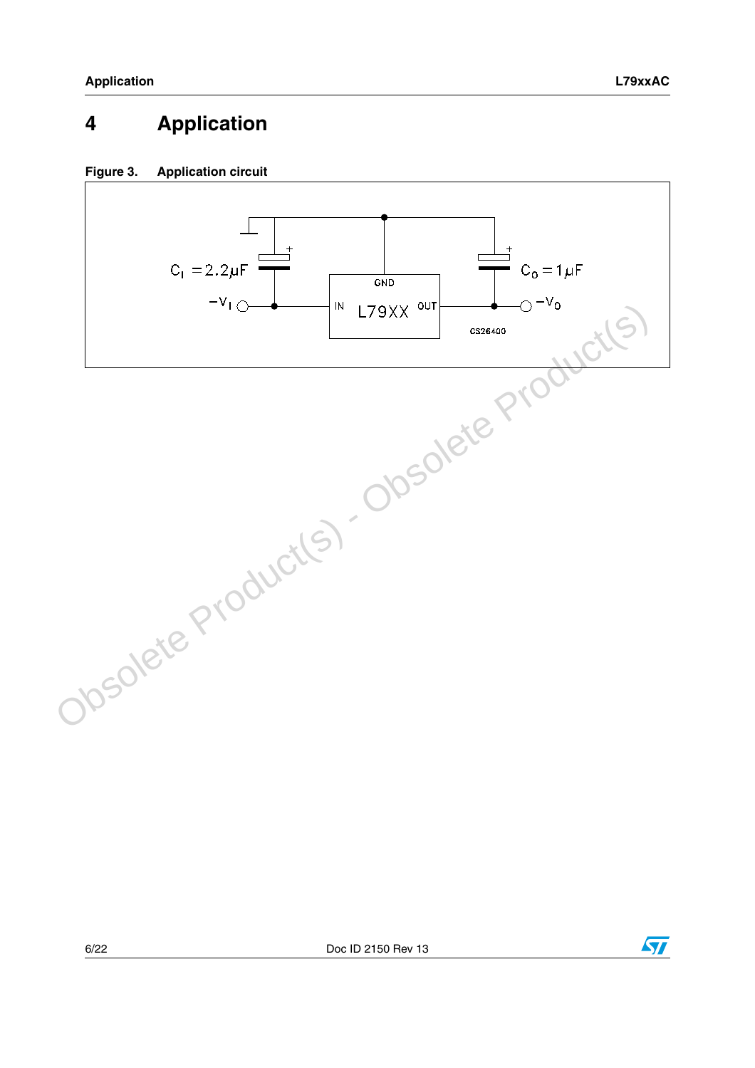# <span id="page-5-0"></span>**4 Application**

### **Figure 3. Application circuit**





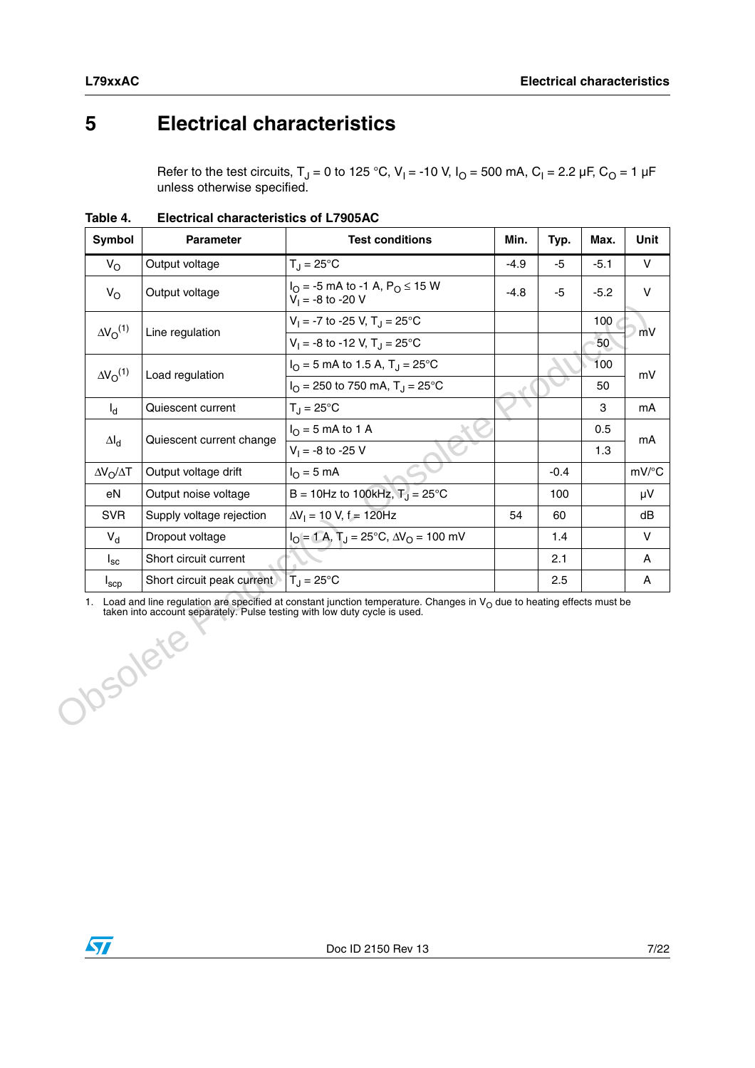## <span id="page-6-0"></span>**5 Electrical characteristics**

Refer to the test circuits, T<sub>J</sub> = 0 to 125 °C, V<sub>I</sub> = -10 V, I<sub>O</sub> = 500 mA, C<sub>I</sub> = 2.2 µF, C<sub>O</sub> = 1 µF unless otherwise specified.

| Symbol<br><b>Parameter</b> |                                                                                       | <b>Test conditions</b>                                                                                                     | Min.   | Typ.   | Max.   | Unit   |
|----------------------------|---------------------------------------------------------------------------------------|----------------------------------------------------------------------------------------------------------------------------|--------|--------|--------|--------|
| $V_{\rm O}$                | Output voltage                                                                        | $T_{\rm J} = 25^{\circ}$ C                                                                                                 | $-4.9$ | $-5$   | $-5.1$ | $\vee$ |
| $V_{\rm O}$                | Output voltage                                                                        | $I_{\Omega}$ = -5 mA to -1 A, P <sub>O</sub> $\leq$ 15 W<br>$V_1 = -8$ to $-20$ V                                          | $-4.8$ | -5     | $-5.2$ | V      |
| $\Delta V_{\Omega}^{(1)}$  | Line regulation                                                                       | $V_1 = -7$ to -25 V, T <sub>J</sub> = 25 °C                                                                                |        |        | 100    | mV     |
|                            |                                                                                       | $V_1 = -8$ to -12 V, T <sub>J</sub> = 25 °C                                                                                |        |        | 50     |        |
| $\Delta V_{\Omega}^{(1)}$  | Load regulation                                                                       | $I_{\text{O}} = 5$ mA to 1.5 A, T <sub>J</sub> = 25°C                                                                      |        |        | 100    | mV     |
|                            |                                                                                       | $I_{\text{O}}$ = 250 to 750 mA, T <sub>J</sub> = 25°C                                                                      |        |        | 50     |        |
| $I_d$                      | Quiescent current                                                                     | $T_{\rm J} = 25^{\circ}$ C                                                                                                 |        |        | 3      | mA     |
| $\Delta I_d$               | Quiescent current change                                                              | $IO$ = 5 mA to 1 A                                                                                                         |        |        | 0.5    | mA     |
|                            |                                                                                       | $V_1 = -8$ to -25 V                                                                                                        |        |        | 1.3    |        |
| $\Delta V_O / \Delta T$    | Output voltage drift                                                                  | $I_{\Omega} = 5$ mA                                                                                                        |        | $-0.4$ |        | mV/°C  |
| eN                         | Output noise voltage                                                                  | $B = 10$ Hz to 100kHz, $T_1 = 25^{\circ}$ C                                                                                |        | 100    |        | μV     |
| <b>SVR</b>                 | Supply voltage rejection                                                              | $\Delta V_1 = 10$ V, $f = 120$ Hz                                                                                          | 54     | 60     |        | dB     |
| $V_{\rm d}$                | Dropout voltage                                                                       | $I_O = 1$ A, $T_J = 25$ °C, $\Delta V_O = 100$ mV                                                                          |        | 1.4    |        | $\vee$ |
| $I_{\rm sc}$               | Short circuit current                                                                 |                                                                                                                            |        | 2.1    |        | Α      |
| $I_{\sf scp}$              | Short circuit peak current                                                            | $T_{\rm J} = 25^{\circ}$ C                                                                                                 |        | 2.5    |        | Α      |
|                            | taken into account separately. Pulse testing with low duty cycle is used.<br>Disolete | 1. Load and line regulation are specified at constant junction temperature. Changes in $VO$ due to heating effects must be |        |        |        |        |

**Table 4. Electrical characteristics of L7905AC**

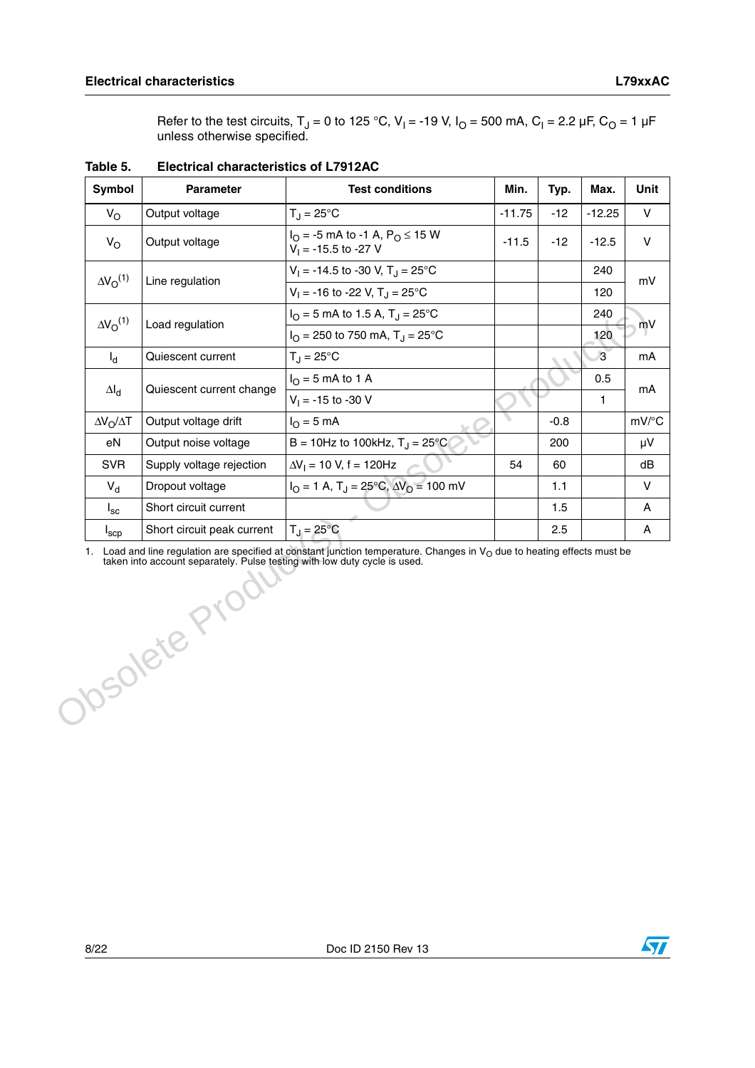Refer to the test circuits, T<sub>J</sub> = 0 to 125 °C, V<sub>I</sub> = -19 V, I<sub>O</sub> = 500 mA, C<sub>I</sub> = 2.2 µF, C<sub>O</sub> = 1 µF unless otherwise specified.

| Symbol                    | <b>Parameter</b>           | <b>Test conditions</b>                                                            | Min.     | Typ.   | Max.           | Unit   |
|---------------------------|----------------------------|-----------------------------------------------------------------------------------|----------|--------|----------------|--------|
| $V_{\rm O}$               | Output voltage             | $T_{\rm J} = 25^{\circ}$ C                                                        | $-11.75$ | $-12$  | $-12.25$       | $\vee$ |
| $V_{\rm O}$               | Output voltage             | $I_{\rm O}$ = -5 mA to -1 A, P <sub>O</sub> $\leq$ 15 W<br>$V_1 = -15.5$ to -27 V | $-11.5$  | $-12$  | $-12.5$        | $\vee$ |
| $\Delta V_{\Omega}^{(1)}$ |                            | $V_1 = -14.5$ to -30 V, T <sub>J</sub> = 25 <sup>o</sup> C                        |          |        | 240            |        |
|                           | Line regulation            | $V_1 = -16$ to -22 V, T <sub>J</sub> = 25°C                                       |          |        | 120            | mV     |
| $\Delta V_{\rm O}^{(1)}$  |                            | $I_{\Omega}$ = 5 mA to 1.5 A, T <sub>J</sub> = 25 °C                              |          |        | 240            |        |
|                           | Load regulation            | $I_{\Omega}$ = 250 to 750 mA, T <sub>1</sub> = 25°C                               |          |        | 120            | mV     |
| $I_{d}$                   | Quiescent current          | $T_{\rm J}$ = 25°C                                                                |          |        | $\overline{3}$ | mA     |
|                           |                            | $I_{\Omega}$ = 5 mA to 1 A                                                        |          |        | 0.5            |        |
| $\Delta I_d$              | Quiescent current change   | $V_1 = -15$ to -30 V                                                              |          |        | 1              | mA     |
| $\Delta V_O / \Delta T$   | Output voltage drift       | $I_{\Omega}$ = 5 mA                                                               |          | $-0.8$ |                | mV/°C  |
| eN                        | Output noise voltage       | B = 10Hz to 100kHz, $T_{\rm J}$ = 25°C                                            |          | 200    |                | μV     |
| <b>SVR</b>                | Supply voltage rejection   | $\Delta V_1 = 10$ V, f = 120Hz                                                    | 54       | 60     |                | dB     |
| $V_{d}$                   | Dropout voltage            | $I_{\rm O} = 1$ A, T <sub>J</sub> = 25°C, $\Delta V_{\rm O} = 100$ mV             |          | 1.1    |                | $\vee$ |
| $I_{\rm sc}$              | Short circuit current      |                                                                                   |          | 1.5    |                | A      |
| $I_{\rm{scp}}$            | Short circuit peak current | $T_J = 25^{\circ}C$                                                               |          | 2.5    |                | A      |

**Table 5. Electrical characteristics of L7912AC**

1. Load and line regulation are specified at constant junction temperature. Changes in  $V_O$  due to heating effects must be taken into account separately. Pulse testing with low duty cycle is used. 1. Load and line regulation are specified taken into account separately. Pulse

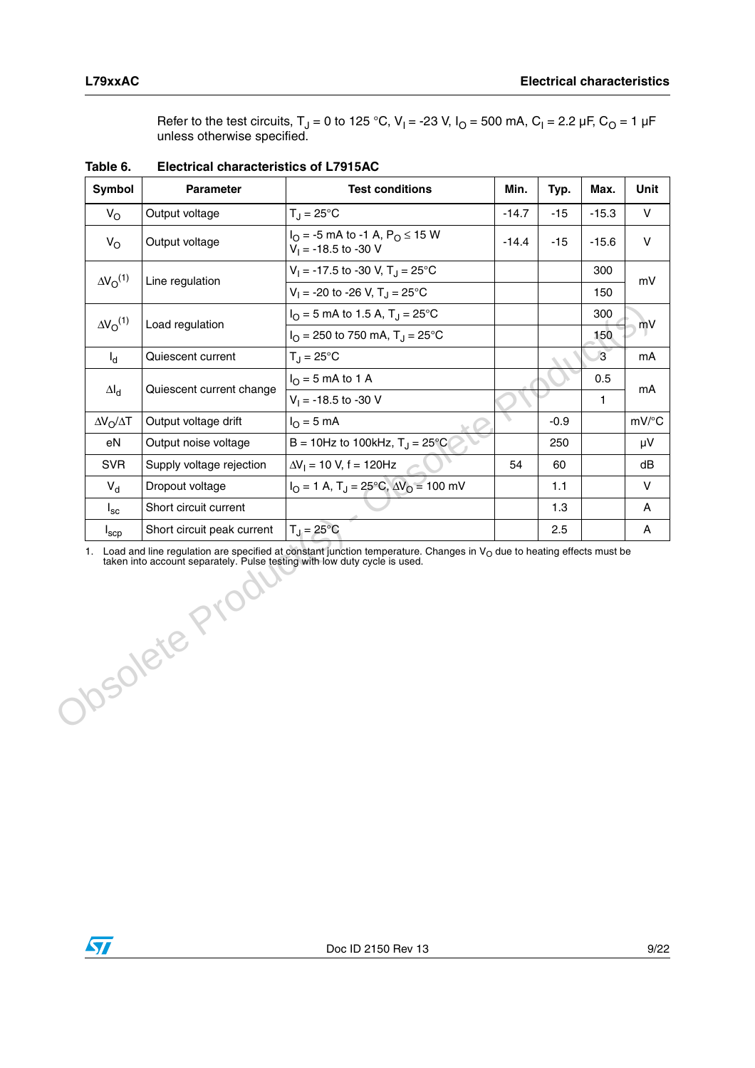Refer to the test circuits, T<sub>J</sub> = 0 to 125 °C, V<sub>I</sub> = -23 V, I<sub>O</sub> = 500 mA, C<sub>I</sub> = 2.2 µF, C<sub>O</sub> = 1 µF unless otherwise specified.

| Symbol                    | <b>Parameter</b>           | <b>Test conditions</b>                                                               | Min.    | Typ.   | Max.           | Unit         |
|---------------------------|----------------------------|--------------------------------------------------------------------------------------|---------|--------|----------------|--------------|
| $V_{\rm O}$               | Output voltage             | $T_{\rm J} = 25^{\circ}$ C                                                           | $-14.7$ | $-15$  | $-15.3$        | $\vee$       |
| $V_{\rm O}$               | Output voltage             | $I_{\Omega}$ = -5 mA to -1 A, P <sub>O</sub> $\leq$ 15 W<br>$V_1 = -18.5$ to $-30$ V | $-14.4$ | $-15$  | $-15.6$        | $\vee$       |
| $\Delta V_{\Omega}^{(1)}$ |                            | $V_1 = -17.5$ to -30 V, T <sub>J</sub> = 25 °C                                       |         |        | 300            |              |
|                           | Line regulation            | $V_1 = -20$ to -26 V, T <sub>J</sub> = 25 °C                                         |         |        | 150            | mV           |
| $\Delta V_{\Omega}^{(1)}$ |                            | $I_{\Omega}$ = 5 mA to 1.5 A, T <sub>J</sub> = 25°C                                  |         |        | 300            |              |
|                           | Load regulation            | $I_{\Omega}$ = 250 to 750 mA, T <sub>1</sub> = 25 °C                                 |         |        | 150            | mV           |
| $I_d$                     | Quiescent current          | $T_{\rm J} = 25^{\circ}$ C                                                           |         |        | $\overline{3}$ | mA           |
|                           |                            | $I_{\Omega}$ = 5 mA to 1 A                                                           |         |        | 0.5            | mA           |
| $\Delta I_d$              | Quiescent current change   | $V_1 = -18.5$ to $-30$ V                                                             |         |        | 1.             |              |
| $\Delta V_O / \Delta T$   | Output voltage drift       | $IO = 5 mA$                                                                          |         | $-0.9$ |                | mV/°C        |
| eN                        | Output noise voltage       | B = 10Hz to 100kHz, $T_{\rm J}$ = 25°C                                               |         | 250    |                | μV           |
| <b>SVR</b>                | Supply voltage rejection   | $\Delta V_1 = 10$ V, f = 120Hz                                                       | 54      | 60     |                | dB           |
| $V_{d}$                   | Dropout voltage            | $I_{\Omega} = 1$ A, T <sub>J</sub> = 25 <sup>o</sup> C, $\Delta V_{\Omega} = 100$ mV |         | 1.1    |                | $\vee$       |
| $I_{\rm sc}$              | Short circuit current      |                                                                                      |         | 1.3    |                | $\mathsf{A}$ |
| $I_{\sf sep}$             | Short circuit peak current | $T_J = 25^{\circ}C$                                                                  |         | 2.5    |                | Α            |

**Table 6. Electrical characteristics of L7915AC**

1. Load and line regulation are specified at constant junction temperature. Changes in  $V_O$  due to heating effects must be taken into account separately. Pulse testing with low duty cycle is used. Obsolete Prod

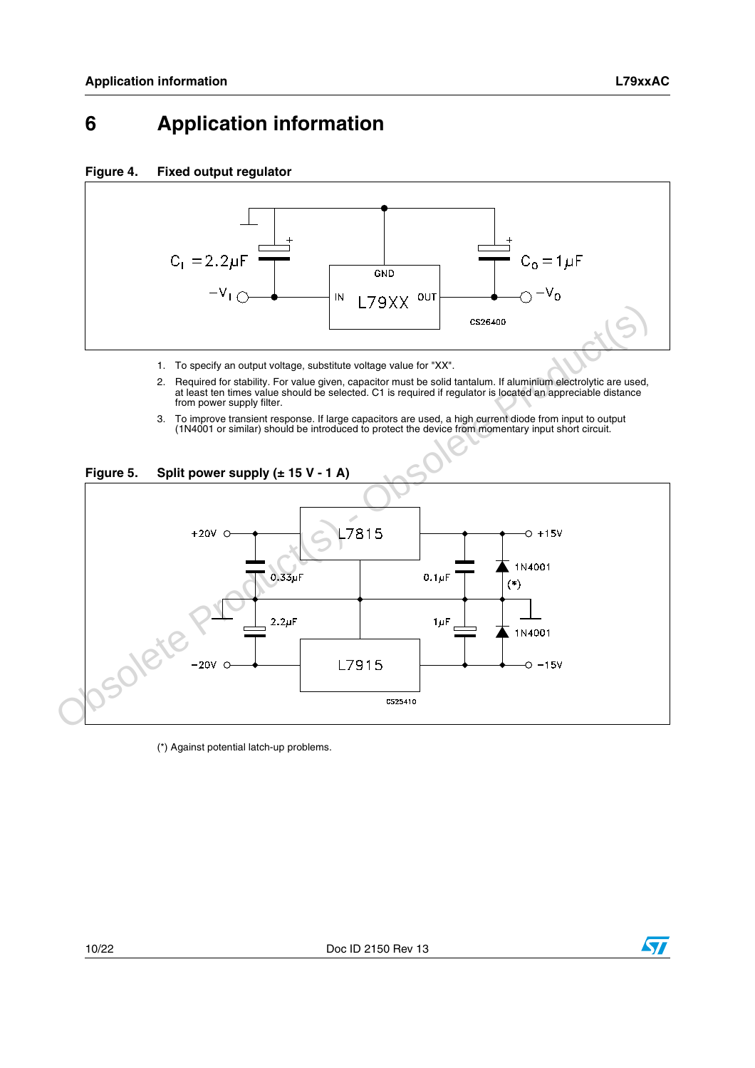## <span id="page-9-0"></span>**6 Application information**

#### **Figure 4. Fixed output regulator**



- 1. To specify an output voltage, substitute voltage value for "XX".
- 2. Required for stability. For value given, capacitor must be solid tantalum. If aluminium electrolytic are used, at least ten times value should be selected. C1 is required if regulator is located an appreciable distance from power supply filter.
- 3. To improve transient response. If large capacitors are used, a high current diode from input to output (1N4001 or similar) should be introduced to protect the device from momentary input short circuit.





(\*) Against potential latch-up problems.



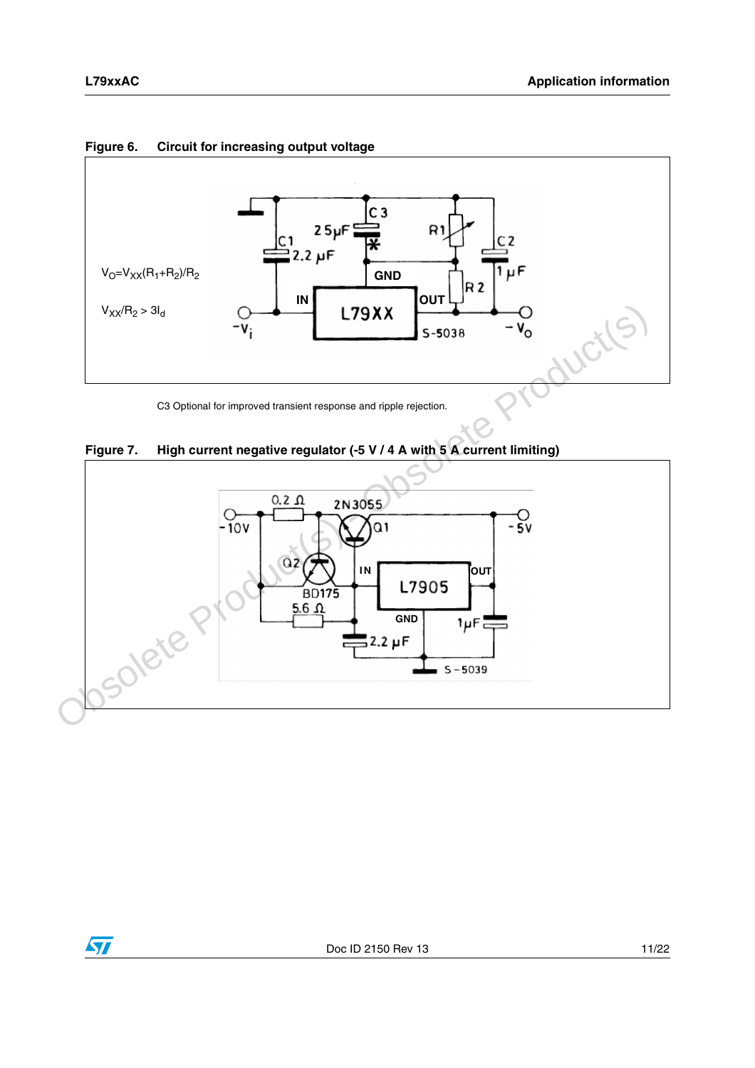

**Figure 6. Circuit for increasing output voltage**

C3 Optional for improved transient response and ripple rejection.





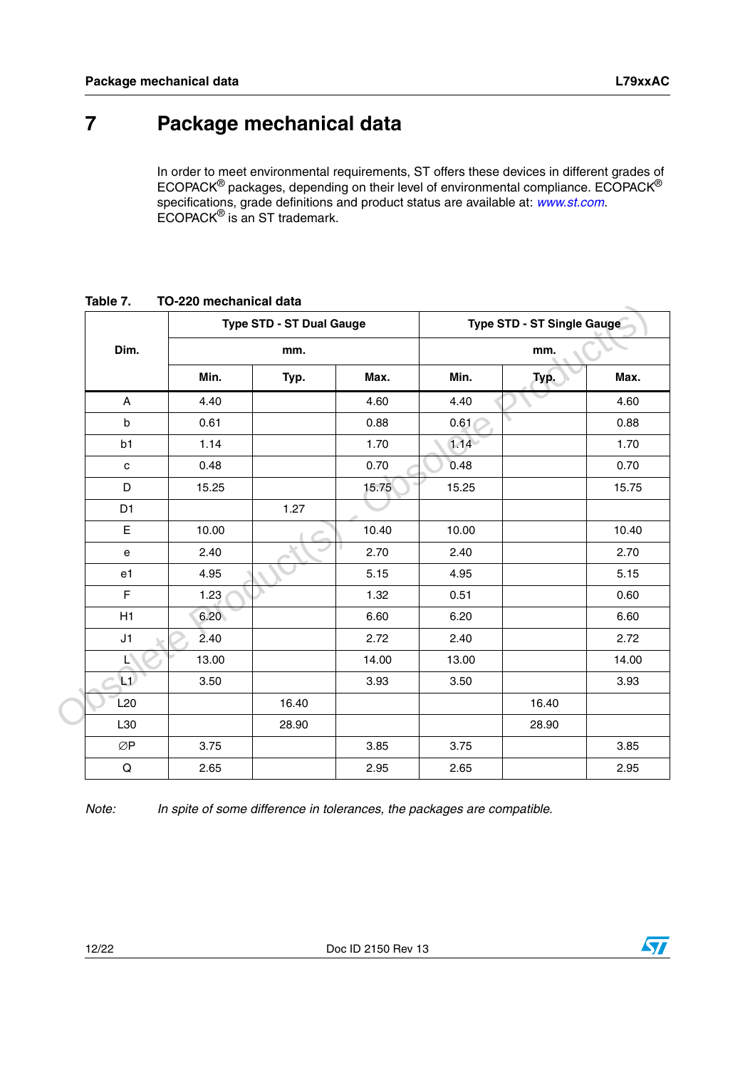$\sqrt{2}$ 

# <span id="page-11-0"></span>**7 Package mechanical data**

In order to meet environmental requirements, ST offers these devices in different grades of ECOPACK® packages, depending on their level of environmental compliance. ECOPACK® specifications, grade definitions and product status are available at: [www.st.com](http://www.st.com). ECOPACK® is an ST trademark.

|                |       | <b>Type STD - ST Dual Gauge</b> |       |       | Type STD - ST Single Gauge |       |
|----------------|-------|---------------------------------|-------|-------|----------------------------|-------|
| Dim.           | mm.   |                                 |       | mm.   |                            |       |
|                | Min.  | Typ.                            | Max.  | Min.  | Typ.                       | Max.  |
| A              | 4.40  |                                 | 4.60  | 4.40  |                            | 4.60  |
| $\sf b$        | 0.61  |                                 | 0.88  | 0.61  |                            | 0.88  |
| b1             | 1.14  |                                 | 1.70  | 1.14  |                            | 1.70  |
| $\mathbf c$    | 0.48  |                                 | 0.70  | 0.48  |                            | 0.70  |
| D              | 15.25 |                                 | 15.75 | 15.25 |                            | 15.75 |
| D <sub>1</sub> |       | 1.27                            |       |       |                            |       |
| E              | 10.00 |                                 | 10.40 | 10.00 |                            | 10.40 |
| ${\bf e}$      | 2.40  |                                 | 2.70  | 2.40  |                            | 2.70  |
| e1             | 4.95  |                                 | 5.15  | 4.95  |                            | 5.15  |
| F              | 1.23  |                                 | 1.32  | 0.51  |                            | 0.60  |
| H1             | 6.20  |                                 | 6.60  | 6.20  |                            | 6.60  |
| J1             | 2.40  |                                 | 2.72  | 2.40  |                            | 2.72  |
| Ę,             | 13.00 |                                 | 14.00 | 13.00 |                            | 14.00 |
| $\mathbf{L}$   | 3.50  |                                 | 3.93  | 3.50  |                            | 3.93  |
| L20            |       | 16.40                           |       |       | 16.40                      |       |
| L30            |       | 28.90                           |       |       | 28.90                      |       |
| ØP             | 3.75  |                                 | 3.85  | 3.75  |                            | 3.85  |
| $\mathsf Q$    | 2.65  |                                 | 2.95  | 2.65  |                            | 2.95  |

<span id="page-11-1"></span>**Table 7. TO-220 mechanical data**

Note: In spite of some difference in tolerances, the packages are compatible.

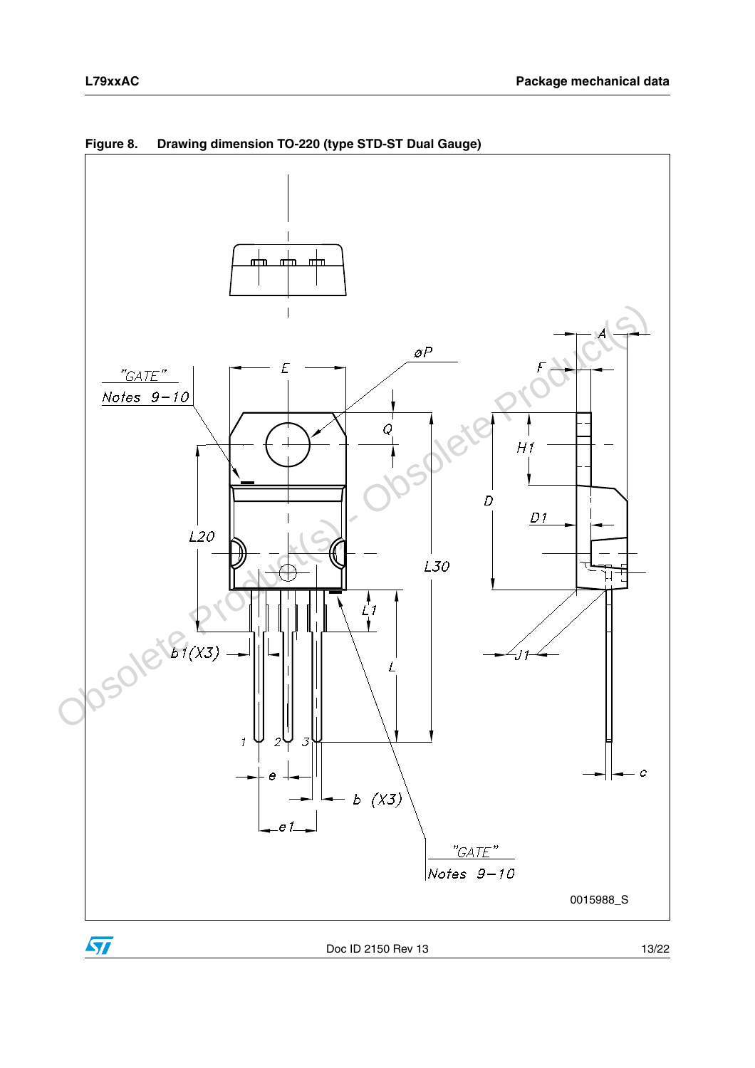



<span id="page-12-0"></span>**Figure 8. Drawing dimension TO-220 (type STD-ST Dual Gauge)**

 $\sqrt{2}$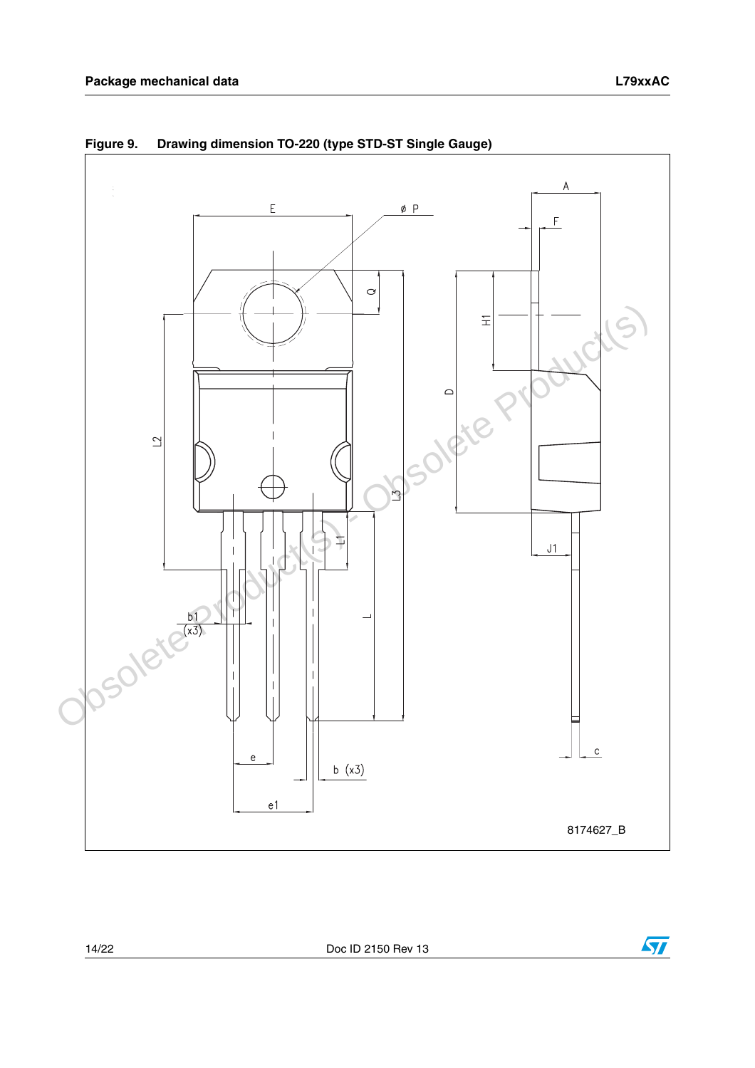

<span id="page-13-0"></span>**Figure 9. Drawing dimension TO-220 (type STD-ST Single Gauge)**

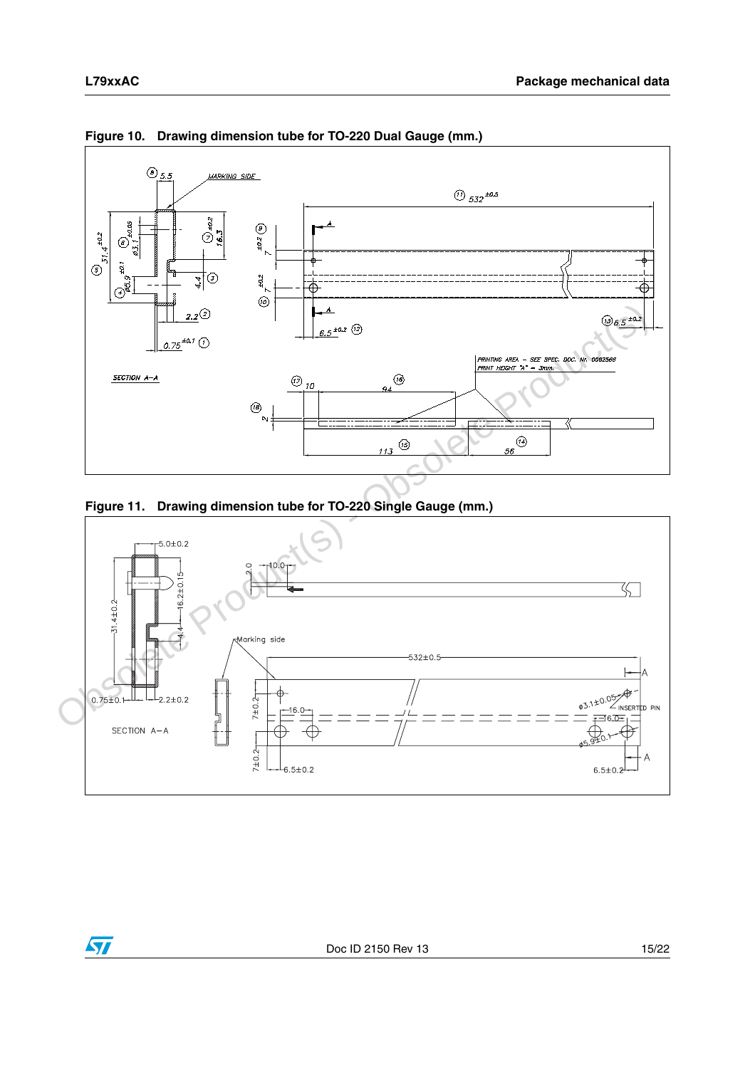

<span id="page-14-0"></span>**Figure 10. Drawing dimension tube for TO-220 Dual Gauge (mm.)**

<span id="page-14-1"></span>

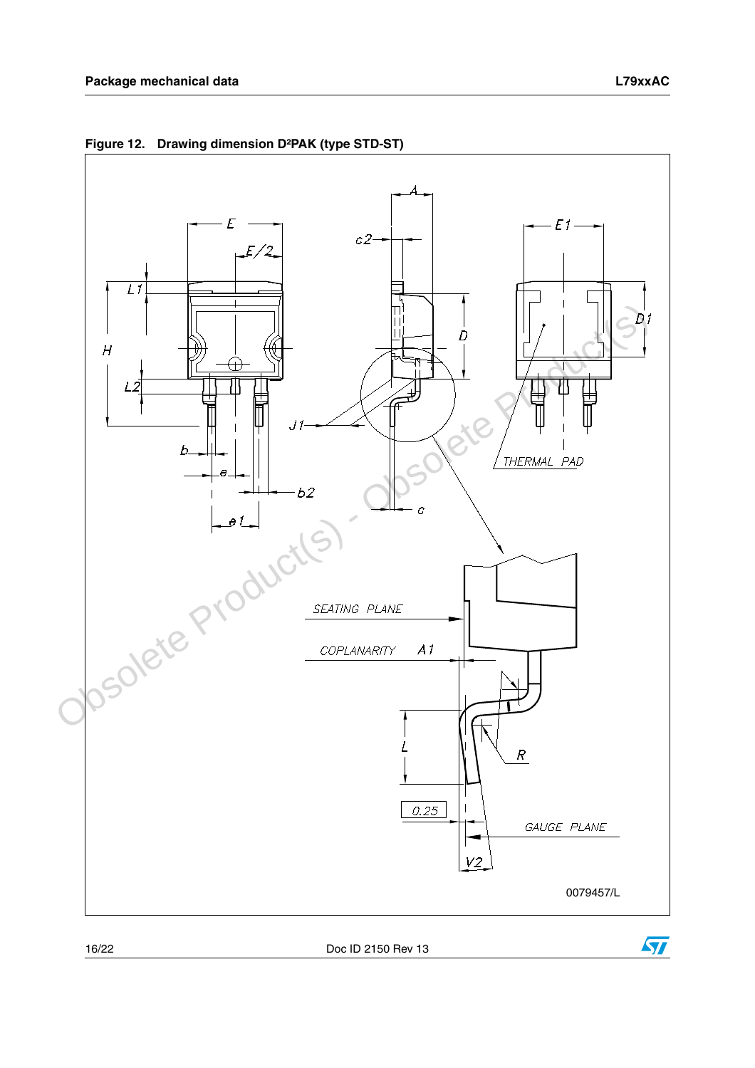

**Figure 12. Drawing dimension D²PAK (type STD-ST)**

16/22 Doc ID 2150 Rev 13

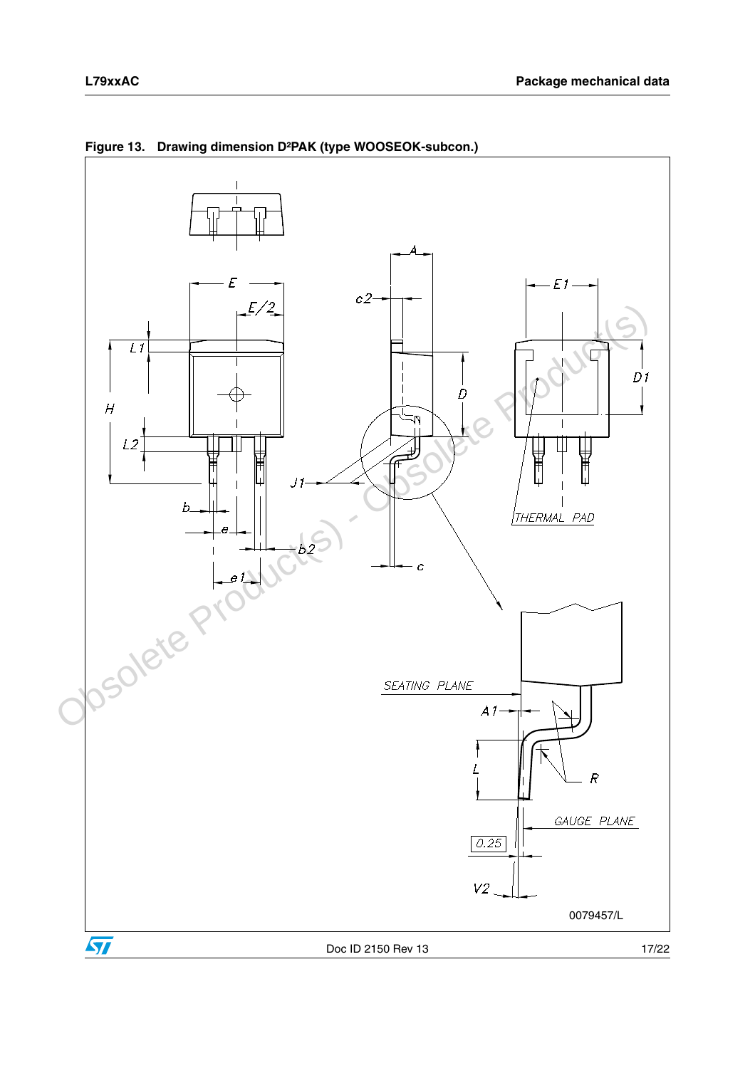



**Figure 13. Drawing dimension D²PAK (type WOOSEOK-subcon.)**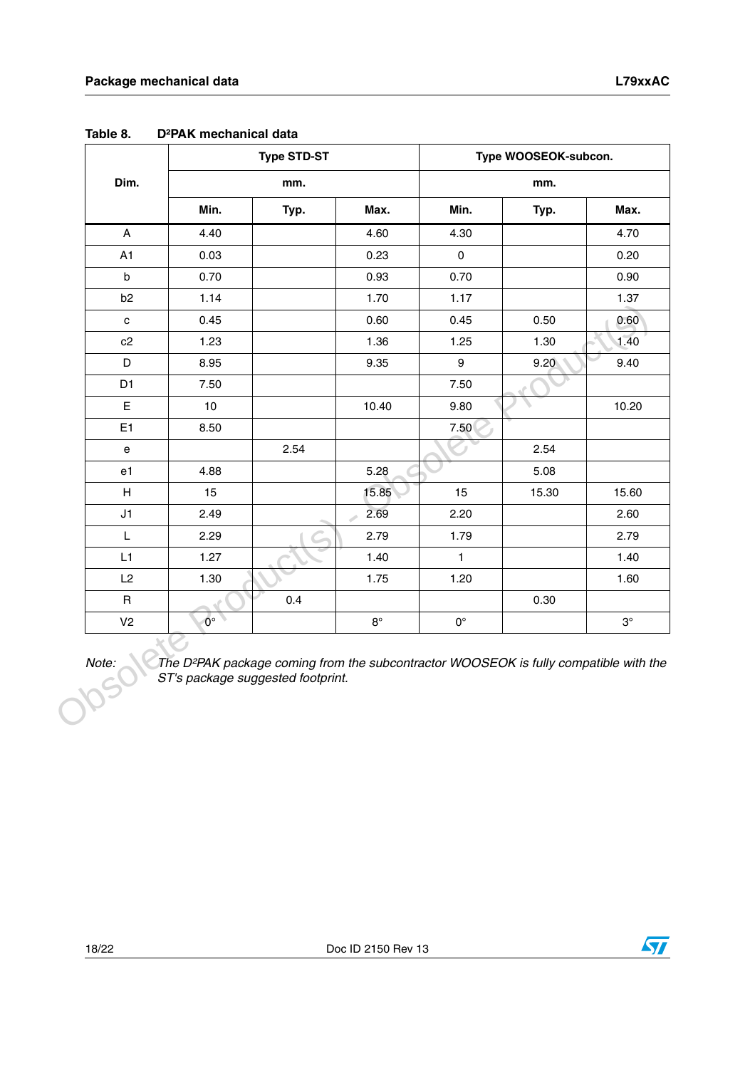|                           | <b>Type STD-ST</b> |      |             | Type WOOSEOK-subcon. |       |           |
|---------------------------|--------------------|------|-------------|----------------------|-------|-----------|
| Dim.                      |                    | mm.  |             |                      | mm.   |           |
|                           | Min.               | Typ. | Max.        | Min.                 | Typ.  | Max.      |
| $\boldsymbol{\mathsf{A}}$ | 4.40               |      | 4.60        | 4.30                 |       | 4.70      |
| A1                        | 0.03               |      | 0.23        | $\pmb{0}$            |       | 0.20      |
| $\sf b$                   | 0.70               |      | 0.93        | 0.70                 |       | 0.90      |
| b <sub>2</sub>            | 1.14               |      | 1.70        | 1.17                 |       | 1.37      |
| $\mathbf c$               | 0.45               |      | 0.60        | 0.45                 | 0.50  | 0.60      |
| c2                        | 1.23               |      | 1.36        | 1.25                 | 1.30  | 1.40      |
| $\mathsf D$               | 8.95               |      | 9.35        | 9                    | 9.20  | 9.40      |
| D <sub>1</sub>            | 7.50               |      |             | 7.50                 |       |           |
| $\mathsf E$               | 10                 |      | 10.40       | 9.80                 |       | 10.20     |
| E <sub>1</sub>            | 8.50               |      |             | 7.50                 |       |           |
| e                         |                    | 2.54 |             |                      | 2.54  |           |
| e1                        | 4.88               |      | 5.28        |                      | 5.08  |           |
| $\boldsymbol{\mathsf{H}}$ | 15                 |      | 15.85       | 15                   | 15.30 | 15.60     |
| J1                        | 2.49               |      | 2.69<br>A   | 2.20                 |       | 2.60      |
| L                         | 2.29               |      | 2.79        | 1.79                 |       | 2.79      |
| L1                        | 1.27               |      | 1.40        | $\mathbf{1}$         |       | 1.40      |
| L2                        | 1.30               |      | 1.75        | 1.20                 |       | 1.60      |
| $\sf R$                   |                    | 0.4  |             |                      | 0.30  |           |
| V <sub>2</sub>            | $0^{\circ}$        |      | $8^{\circ}$ | $\mathbf{0}^\circ$   |       | $3^\circ$ |

**Table 8. D²PAK mechanical data**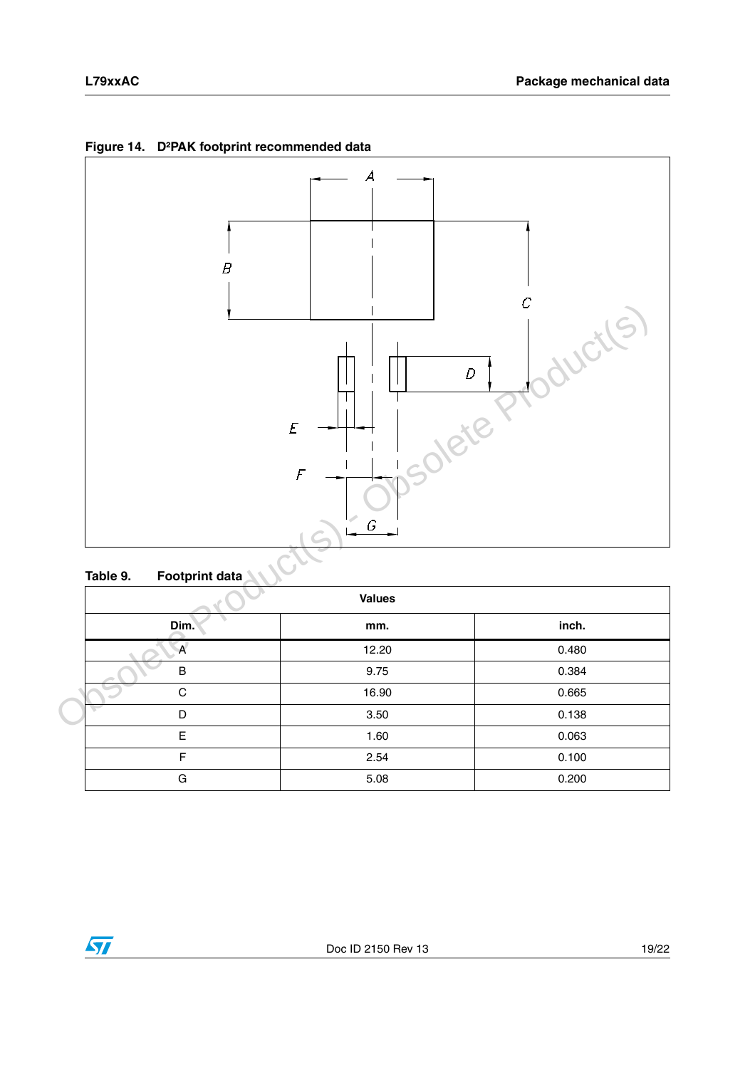

**Figure 14. D²PAK footprint recommended data**

### **Table 9. Footprint data**

|      | <b>Values</b> |       |
|------|---------------|-------|
| Dim. | mm.           | inch. |
| A    | 12.20         | 0.480 |
| B    | 9.75          | 0.384 |
| C    | 16.90         | 0.665 |
| D    | 3.50          | 0.138 |
| E    | 1.60          | 0.063 |
| F    | 2.54          | 0.100 |
| G    | 5.08          | 0.200 |

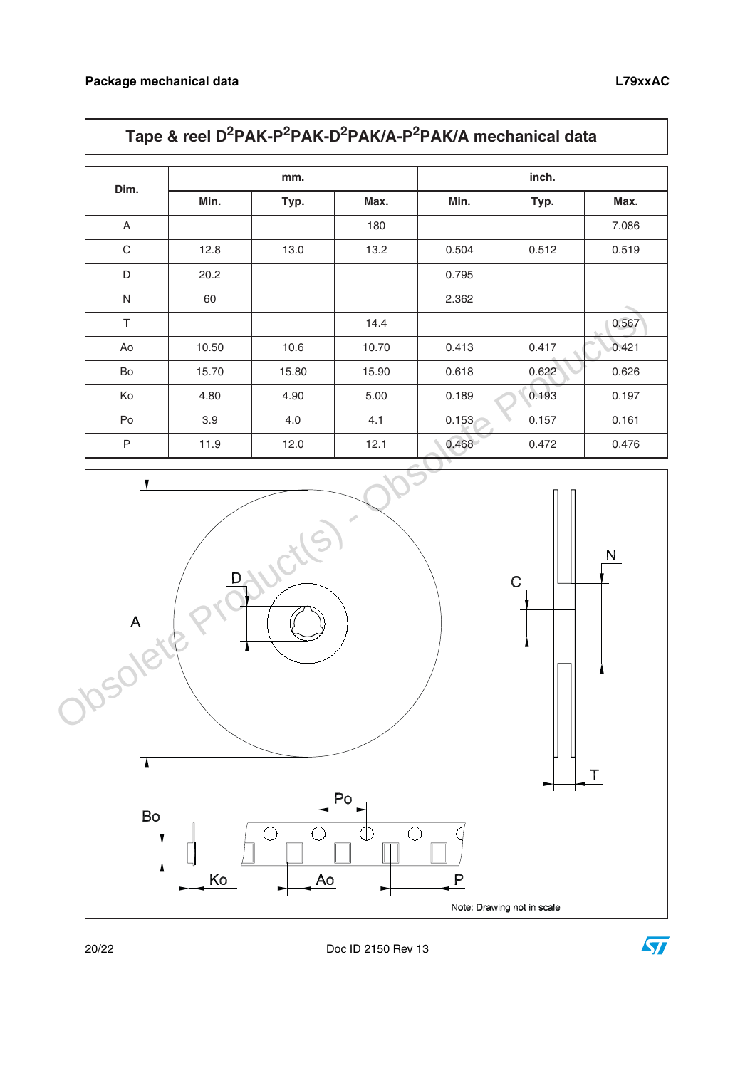# **Tape & reel D2PAK-P2PAK-D2PAK/A-P2PAK/A mechanical data**

| Dim.         |       | mm.   |       | inch. |       |       |  |
|--------------|-------|-------|-------|-------|-------|-------|--|
|              | Min.  | Typ.  | Max.  | Min.  | Typ.  | Max.  |  |
| A            |       |       | 180   |       |       | 7.086 |  |
| C            | 12.8  | 13.0  | 13.2  | 0.504 | 0.512 | 0.519 |  |
| D            | 20.2  |       |       | 0.795 |       |       |  |
| N            | 60    |       |       | 2.362 |       |       |  |
| $\top$       |       |       | 14.4  |       |       | 0.567 |  |
| Ao           | 10.50 | 10.6  | 10.70 | 0.413 | 0.417 | 0.421 |  |
| Bo           | 15.70 | 15.80 | 15.90 | 0.618 | 0.622 | 0.626 |  |
| Ko           | 4.80  | 4.90  | 5.00  | 0.189 | 0.193 | 0.197 |  |
| Po           | 3.9   | 4.0   | 4.1   | 0.153 | 0.157 | 0.161 |  |
| $\mathsf{P}$ | 11.9  | 12.0  | 12.1  | 0.468 | 0.472 | 0.476 |  |



20/22 Doc ID 2150 Rev 13

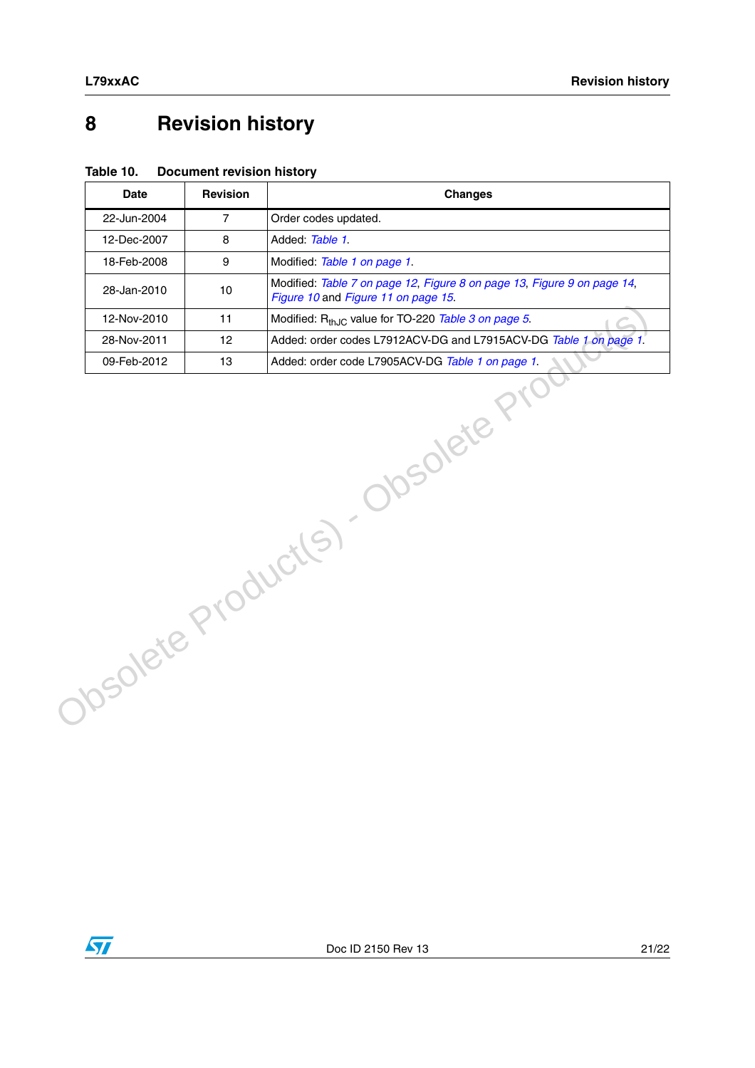# <span id="page-20-0"></span>**8 Revision history**

| Table 10. | <b>Document revision history</b> |  |
|-----------|----------------------------------|--|
|-----------|----------------------------------|--|

|                                  | <b>Date</b> | <b>Revision</b> | <b>Changes</b>                                                                                                 |
|----------------------------------|-------------|-----------------|----------------------------------------------------------------------------------------------------------------|
|                                  | 22-Jun-2004 | $\overline{7}$  | Order codes updated.                                                                                           |
|                                  | 12-Dec-2007 | 8               | Added: Table 1.                                                                                                |
|                                  | 18-Feb-2008 | 9               | Modified: Table 1 on page 1.                                                                                   |
|                                  | 28-Jan-2010 | 10              | Modified: Table 7 on page 12, Figure 8 on page 13, Figure 9 on page 14,<br>Figure 10 and Figure 11 on page 15. |
|                                  | 12-Nov-2010 | 11              | Modified: R <sub>thJC</sub> value for TO-220 Table 3 on page 5.                                                |
|                                  | 28-Nov-2011 | 12              | Added: order codes L7912ACV-DG and L7915ACV-DG Table 1 on page 1.                                              |
|                                  | 09-Feb-2012 | 13              | Added: order code L7905ACV-DG Table 1 on page 1.                                                               |
| Obsolete Product(s). Obsolete P1 |             |                 |                                                                                                                |